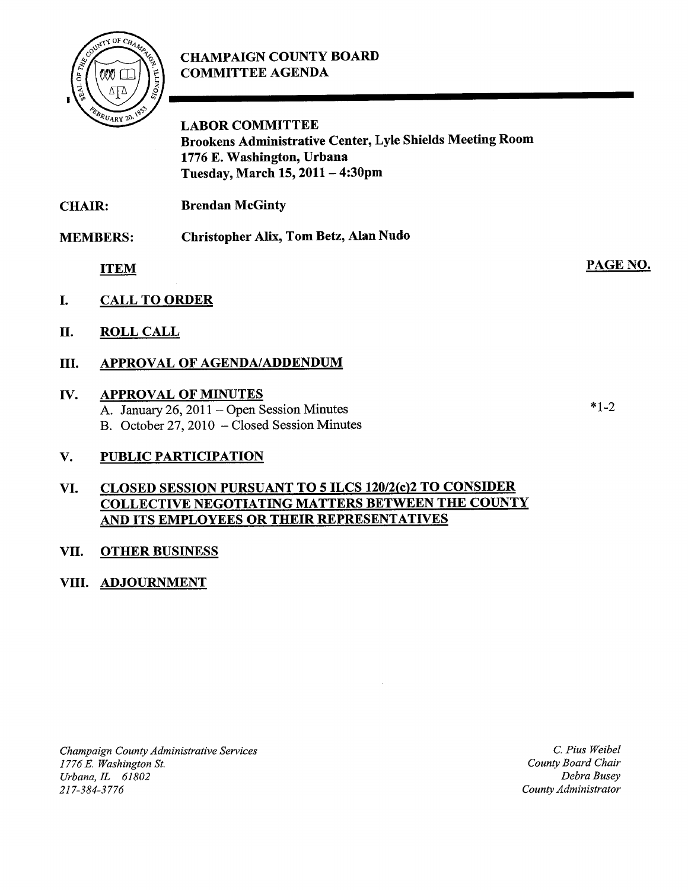# CHAMPAIGN COUNTY BOARD COMMITTEE AGENDA



LABOR COMMITTEE Brookens Administrative Center, Lyle Shields Meeting Room 1776 E. Washington, Urbana Tuesday, March 15, <sup>2011</sup> — 4:30pm

CHAIR: Brendan McGinty

MEMBERS: Christopher Alix, Tom Betz, Alan Nudo

ITEM

- I. CALL TO ORDER
- II. ROLL CALL

## III. APPROVAL OF AGENDA/ADDENDUM

## IV. APPROVAL OF MINUTES

A. January 26, 2011 — Open Session Minutes B. October 27, 2010 — Closed Session Minutes

## V. PUBLIC PARTICIPATION

#### VI. CLOSED SESSION PURSUANT TO 5 ILCS 120/2(c)2 TO CONSIDER COLLECTIVE NEGOTIATING MATTERS BETWEEN THE COUNTY AND ITS EMPLOYEES OR THEIR REPRESENTATIVES

### VII. OTHER BUSINESS

### VIII. ADJOURNMENT

Champaign County Administrative Services 1776 E. Washington St. Urbana, IL 61802 217-384-3776

C. Pius Weibel County Board Chair Debra Busey County Administrator

 $*$  1  $\gamma$ 

PAGE NO.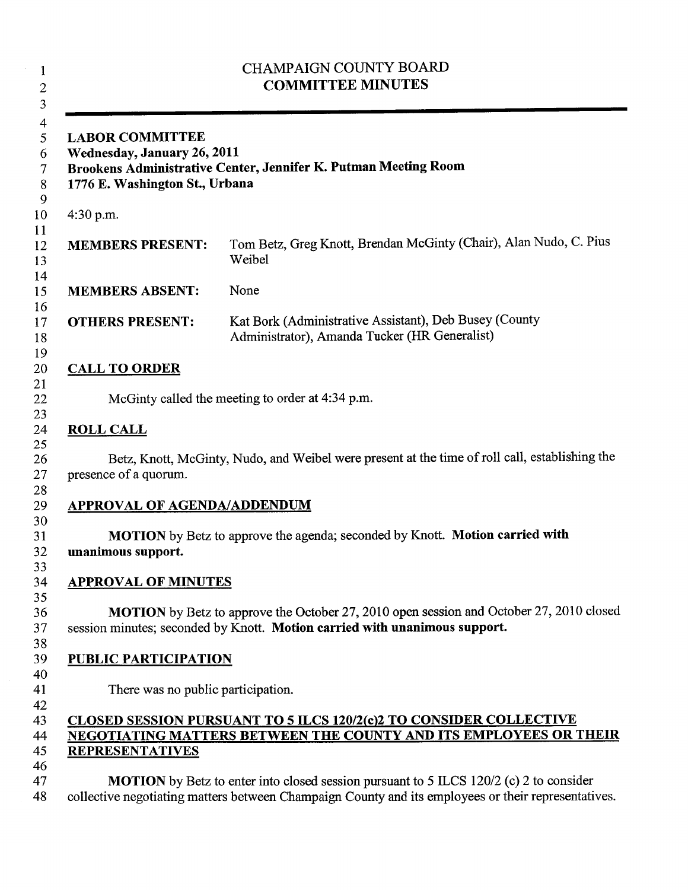| <b>LABOR COMMITTEE</b><br>Wednesday, January 26, 2011<br>1776 E. Washington St., Urbana | Brookens Administrative Center, Jennifer K. Putman Meeting Room                                                                                                       |
|-----------------------------------------------------------------------------------------|-----------------------------------------------------------------------------------------------------------------------------------------------------------------------|
| 4:30 p.m.                                                                               |                                                                                                                                                                       |
| <b>MEMBERS PRESENT:</b>                                                                 | Tom Betz, Greg Knott, Brendan McGinty (Chair), Alan Nudo, C. Pius<br>Weibel                                                                                           |
| <b>MEMBERS ABSENT:</b>                                                                  | None                                                                                                                                                                  |
| <b>OTHERS PRESENT:</b>                                                                  | Kat Bork (Administrative Assistant), Deb Busey (County<br>Administrator), Amanda Tucker (HR Generalist)                                                               |
| <b>CALL TO ORDER</b>                                                                    |                                                                                                                                                                       |
|                                                                                         | McGinty called the meeting to order at 4:34 p.m.                                                                                                                      |
| <b>ROLL CALL</b>                                                                        |                                                                                                                                                                       |
| presence of a quorum.                                                                   | Betz, Knott, McGinty, Nudo, and Weibel were present at the time of roll call, establishing the                                                                        |
| <b>APPROVAL OF AGENDA/ADDENDUM</b>                                                      |                                                                                                                                                                       |
| unanimous support.                                                                      | <b>MOTION</b> by Betz to approve the agenda; seconded by Knott. <b>Motion carried with</b>                                                                            |
| <b>APPROVAL OF MINUTES</b>                                                              |                                                                                                                                                                       |
|                                                                                         | MOTION by Betz to approve the October 27, 2010 open session and October 27, 2010 closed<br>session minutes; seconded by Knott. Motion carried with unanimous support. |
| <b>PUBLIC PARTICIPATION</b>                                                             |                                                                                                                                                                       |
|                                                                                         | There was no public participation.                                                                                                                                    |
|                                                                                         |                                                                                                                                                                       |